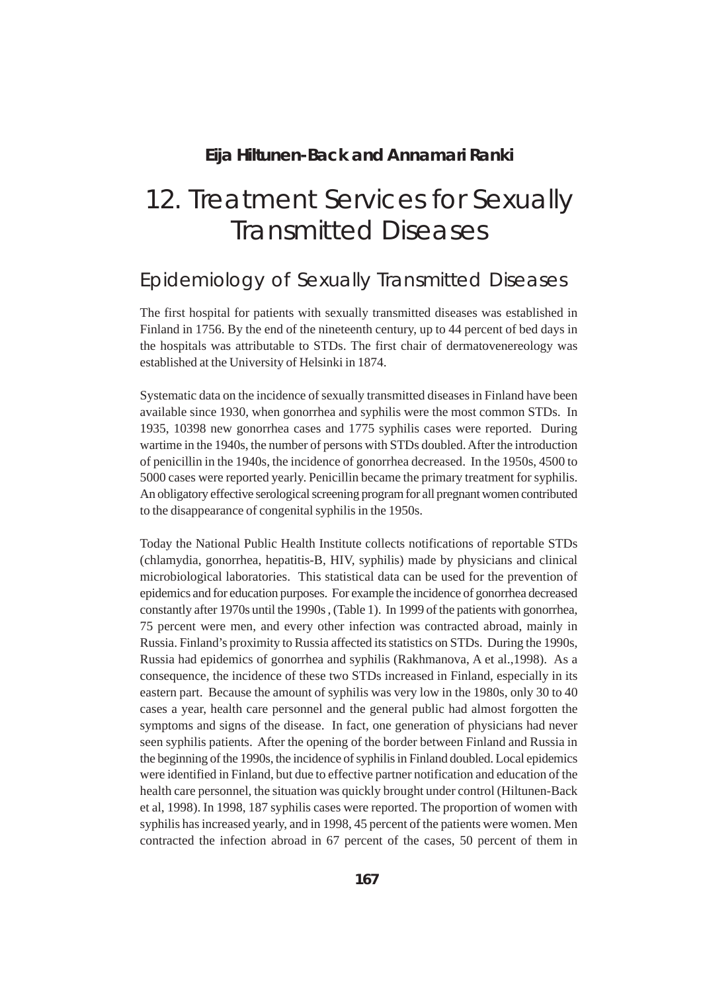#### **Eija Hiltunen-Back and Annamari Ranki**

# 12. Treatment Services for Sexually Transmitted Diseases

### Epidemiology of Sexually Transmitted Diseases

The first hospital for patients with sexually transmitted diseases was established in Finland in 1756. By the end of the nineteenth century, up to 44 percent of bed days in the hospitals was attributable to STDs. The first chair of dermatovenereology was established at the University of Helsinki in 1874.

Systematic data on the incidence of sexually transmitted diseases in Finland have been available since 1930, when gonorrhea and syphilis were the most common STDs. In 1935, 10398 new gonorrhea cases and 1775 syphilis cases were reported. During wartime in the 1940s, the number of persons with STDs doubled. After the introduction of penicillin in the 1940s, the incidence of gonorrhea decreased. In the 1950s, 4500 to 5000 cases were reported yearly. Penicillin became the primary treatment for syphilis. An obligatory effective serological screening program for all pregnant women contributed to the disappearance of congenital syphilis in the 1950s.

Today the National Public Health Institute collects notifications of reportable STDs (chlamydia, gonorrhea, hepatitis-B, HIV, syphilis) made by physicians and clinical microbiological laboratories. This statistical data can be used for the prevention of epidemics and for education purposes. For example the incidence of gonorrhea decreased constantly after 1970s until the 1990s , (Table 1). In 1999 of the patients with gonorrhea, 75 percent were men, and every other infection was contracted abroad, mainly in Russia. Finland's proximity to Russia affected its statistics on STDs. During the 1990s, Russia had epidemics of gonorrhea and syphilis (Rakhmanova, A et al.,1998). As a consequence, the incidence of these two STDs increased in Finland, especially in its eastern part. Because the amount of syphilis was very low in the 1980s, only 30 to 40 cases a year, health care personnel and the general public had almost forgotten the symptoms and signs of the disease. In fact, one generation of physicians had never seen syphilis patients. After the opening of the border between Finland and Russia in the beginning of the 1990s, the incidence of syphilis in Finland doubled. Local epidemics were identified in Finland, but due to effective partner notification and education of the health care personnel, the situation was quickly brought under control (Hiltunen-Back et al, 1998). In 1998, 187 syphilis cases were reported. The proportion of women with syphilis has increased yearly, and in 1998, 45 percent of the patients were women. Men contracted the infection abroad in 67 percent of the cases, 50 percent of them in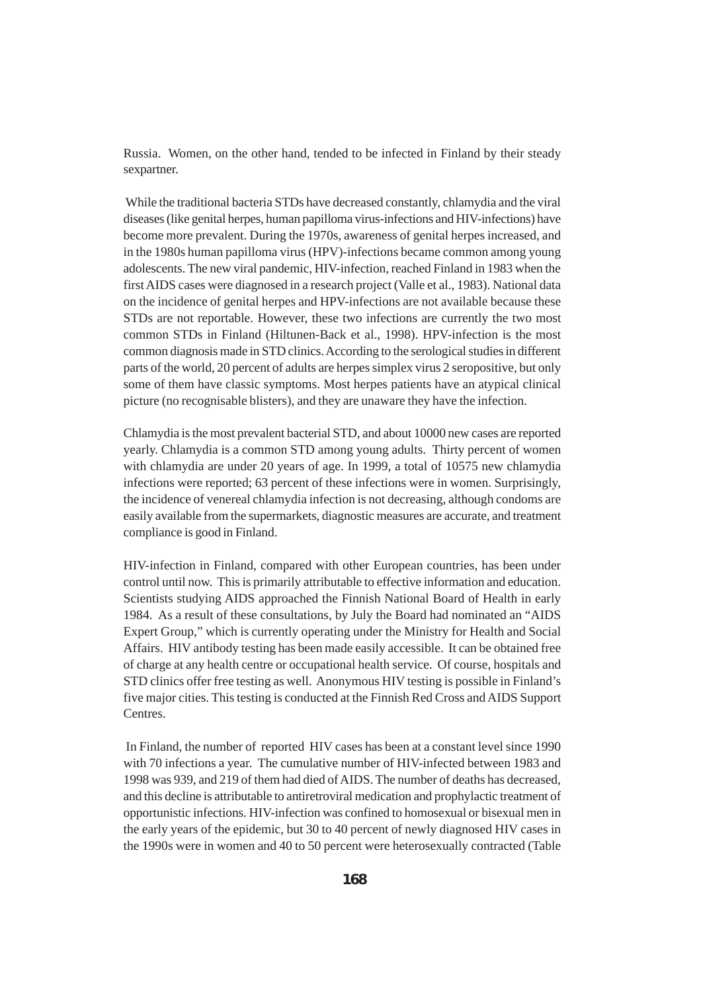Russia. Women, on the other hand, tended to be infected in Finland by their steady sexpartner.

 While the traditional bacteria STDs have decreased constantly, chlamydia and the viral diseases (like genital herpes, human papilloma virus-infections and HIV-infections) have become more prevalent. During the 1970s, awareness of genital herpes increased, and in the 1980s human papilloma virus (HPV)-infections became common among young adolescents. The new viral pandemic, HIV-infection, reached Finland in 1983 when the first AIDS cases were diagnosed in a research project (Valle et al., 1983). National data on the incidence of genital herpes and HPV-infections are not available because these STDs are not reportable. However, these two infections are currently the two most common STDs in Finland (Hiltunen-Back et al., 1998). HPV-infection is the most common diagnosis made in STD clinics. According to the serological studies in different parts of the world, 20 percent of adults are herpes simplex virus 2 seropositive, but only some of them have classic symptoms. Most herpes patients have an atypical clinical picture (no recognisable blisters), and they are unaware they have the infection.

Chlamydia is the most prevalent bacterial STD, and about 10000 new cases are reported yearly. Chlamydia is a common STD among young adults. Thirty percent of women with chlamydia are under 20 years of age. In 1999, a total of 10575 new chlamydia infections were reported; 63 percent of these infections were in women. Surprisingly, the incidence of venereal chlamydia infection is not decreasing, although condoms are easily available from the supermarkets, diagnostic measures are accurate, and treatment compliance is good in Finland.

HIV-infection in Finland, compared with other European countries, has been under control until now. This is primarily attributable to effective information and education. Scientists studying AIDS approached the Finnish National Board of Health in early 1984. As a result of these consultations, by July the Board had nominated an "AIDS Expert Group," which is currently operating under the Ministry for Health and Social Affairs. HIV antibody testing has been made easily accessible. It can be obtained free of charge at any health centre or occupational health service. Of course, hospitals and STD clinics offer free testing as well. Anonymous HIV testing is possible in Finland's five major cities. This testing is conducted at the Finnish Red Cross and AIDS Support Centres.

 In Finland, the number of reported HIV cases has been at a constant level since 1990 with 70 infections a year. The cumulative number of HIV-infected between 1983 and 1998 was 939, and 219 of them had died of AIDS. The number of deaths has decreased, and this decline is attributable to antiretroviral medication and prophylactic treatment of opportunistic infections. HIV-infection was confined to homosexual or bisexual men in the early years of the epidemic, but 30 to 40 percent of newly diagnosed HIV cases in the 1990s were in women and 40 to 50 percent were heterosexually contracted (Table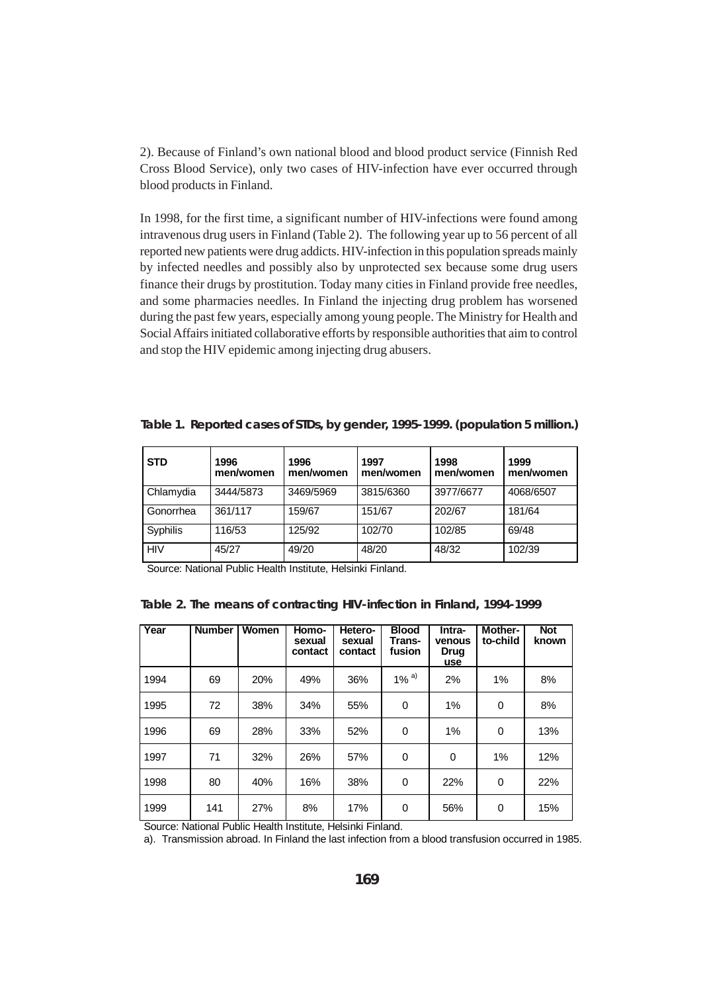2). Because of Finland's own national blood and blood product service (Finnish Red Cross Blood Service), only two cases of HIV-infection have ever occurred through blood products in Finland.

In 1998, for the first time, a significant number of HIV-infections were found among intravenous drug users in Finland (Table 2). The following year up to 56 percent of all reported new patients were drug addicts. HIV-infection in this population spreads mainly by infected needles and possibly also by unprotected sex because some drug users finance their drugs by prostitution. Today many cities in Finland provide free needles, and some pharmacies needles. In Finland the injecting drug problem has worsened during the past few years, especially among young people. The Ministry for Health and Social Affairs initiated collaborative efforts by responsible authorities that aim to control and stop the HIV epidemic among injecting drug abusers.

| <b>STD</b> | 1996<br>men/women | 1996<br>men/women | 1997<br>men/women | 1998<br>men/women | 1999<br>men/women |
|------------|-------------------|-------------------|-------------------|-------------------|-------------------|
| Chlamydia  | 3444/5873         | 3469/5969         | 3815/6360         | 3977/6677         | 4068/6507         |
| Gonorrhea  | 361/117           | 159/67            | 151/67            | 202/67            | 181/64            |
| Syphilis   | 116/53            | 125/92            | 102/70            | 102/85            | 69/48             |
| <b>HIV</b> | 45/27             | 49/20             | 48/20             | 48/32             | 102/39            |

**Table 1. Reported cases of STDs, by gender, 1995-1999. (population 5 million.)**

Source: National Public Health Institute, Helsinki Finland.

| Table 2. The means of contracting HIV-infection in Finland, 1994-1999 |  |  |  |
|-----------------------------------------------------------------------|--|--|--|
|-----------------------------------------------------------------------|--|--|--|

| Year | <b>Number</b> | Women | Homo-<br>sexual<br>contact | Hetero-<br>sexual<br>contact | <b>Blood</b><br>Trans-<br>fusion | Intra-<br>venous<br>Drug<br>use | Mother-<br>to-child | <b>Not</b><br>known |
|------|---------------|-------|----------------------------|------------------------------|----------------------------------|---------------------------------|---------------------|---------------------|
| 1994 | 69            | 20%   | 49%                        | 36%                          | $1\%$ <sup>a)</sup>              | 2%                              | $1\%$               | 8%                  |
| 1995 | 72            | 38%   | 34%                        | 55%                          | 0                                | 1%                              | 0                   | 8%                  |
| 1996 | 69            | 28%   | 33%                        | 52%                          | 0                                | 1%                              | 0                   | 13%                 |
| 1997 | 71            | 32%   | 26%                        | 57%                          | 0                                | 0                               | 1%                  | 12%                 |
| 1998 | 80            | 40%   | 16%                        | 38%                          | 0                                | 22%                             | 0                   | 22%                 |
| 1999 | 141           | 27%   | 8%                         | 17%                          | 0                                | 56%                             | 0                   | 15%                 |

Source: National Public Health Institute, Helsinki Finland.

a). Transmission abroad. In Finland the last infection from a blood transfusion occurred in 1985.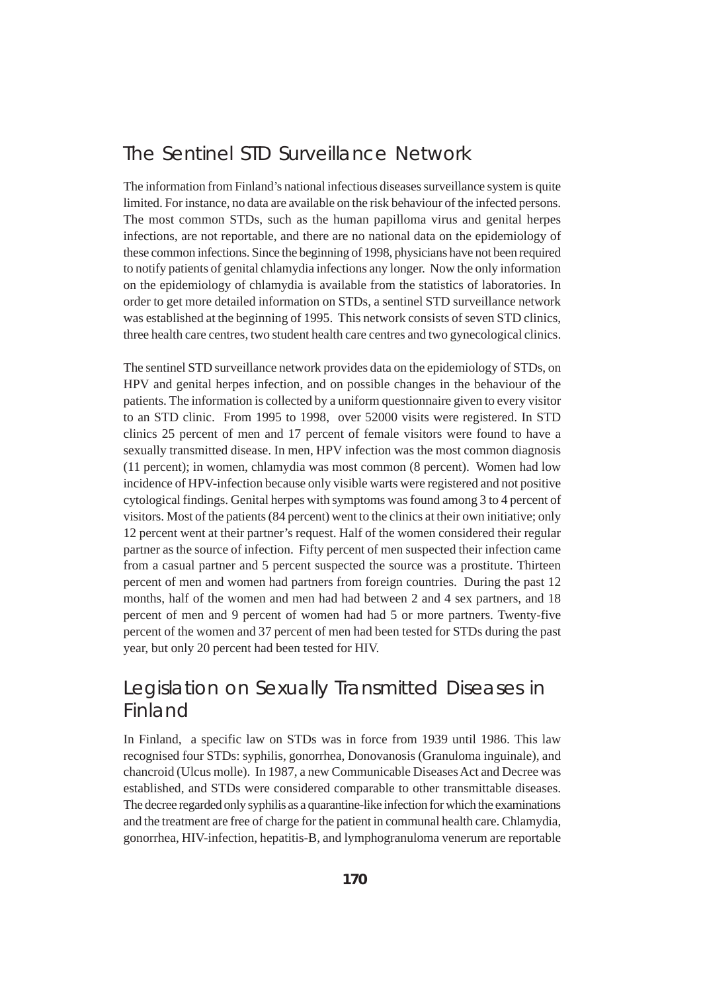#### The Sentinel STD Surveillance Network

The information from Finland's national infectious diseases surveillance system is quite limited. For instance, no data are available on the risk behaviour of the infected persons. The most common STDs, such as the human papilloma virus and genital herpes infections, are not reportable, and there are no national data on the epidemiology of these common infections. Since the beginning of 1998, physicians have not been required to notify patients of genital chlamydia infections any longer. Now the only information on the epidemiology of chlamydia is available from the statistics of laboratories. In order to get more detailed information on STDs, a sentinel STD surveillance network was established at the beginning of 1995. This network consists of seven STD clinics, three health care centres, two student health care centres and two gynecological clinics.

The sentinel STD surveillance network provides data on the epidemiology of STDs, on HPV and genital herpes infection, and on possible changes in the behaviour of the patients. The information is collected by a uniform questionnaire given to every visitor to an STD clinic. From 1995 to 1998, over 52000 visits were registered. In STD clinics 25 percent of men and 17 percent of female visitors were found to have a sexually transmitted disease. In men, HPV infection was the most common diagnosis (11 percent); in women, chlamydia was most common (8 percent). Women had low incidence of HPV-infection because only visible warts were registered and not positive cytological findings. Genital herpes with symptoms was found among 3 to 4 percent of visitors. Most of the patients (84 percent) went to the clinics at their own initiative; only 12 percent went at their partner's request. Half of the women considered their regular partner as the source of infection. Fifty percent of men suspected their infection came from a casual partner and 5 percent suspected the source was a prostitute. Thirteen percent of men and women had partners from foreign countries. During the past 12 months, half of the women and men had had between 2 and 4 sex partners, and 18 percent of men and 9 percent of women had had 5 or more partners. Twenty-five percent of the women and 37 percent of men had been tested for STDs during the past year, but only 20 percent had been tested for HIV.

## Legislation on Sexually Transmitted Diseases in Finland

In Finland, a specific law on STDs was in force from 1939 until 1986. This law recognised four STDs: syphilis, gonorrhea, Donovanosis (Granuloma inguinale), and chancroid (Ulcus molle). In 1987, a new Communicable Diseases Act and Decree was established, and STDs were considered comparable to other transmittable diseases. The decree regarded only syphilis as a quarantine-like infection for which the examinations and the treatment are free of charge for the patient in communal health care. Chlamydia, gonorrhea, HIV-infection, hepatitis-B, and lymphogranuloma venerum are reportable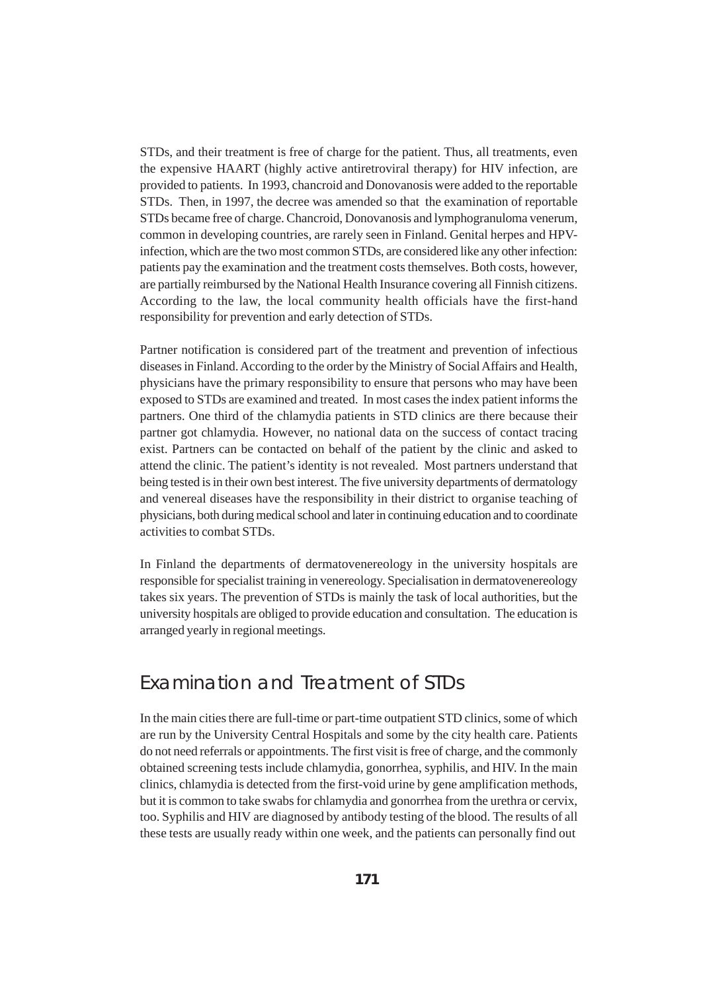STDs, and their treatment is free of charge for the patient. Thus, all treatments, even the expensive HAART (highly active antiretroviral therapy) for HIV infection, are provided to patients. In 1993, chancroid and Donovanosis were added to the reportable STDs. Then, in 1997, the decree was amended so that the examination of reportable STDs became free of charge. Chancroid, Donovanosis and lymphogranuloma venerum, common in developing countries, are rarely seen in Finland. Genital herpes and HPVinfection, which are the two most common STDs, are considered like any other infection: patients pay the examination and the treatment costs themselves. Both costs, however, are partially reimbursed by the National Health Insurance covering all Finnish citizens. According to the law, the local community health officials have the first-hand responsibility for prevention and early detection of STDs.

Partner notification is considered part of the treatment and prevention of infectious diseases in Finland. According to the order by the Ministry of Social Affairs and Health, physicians have the primary responsibility to ensure that persons who may have been exposed to STDs are examined and treated. In most cases the index patient informs the partners. One third of the chlamydia patients in STD clinics are there because their partner got chlamydia. However, no national data on the success of contact tracing exist. Partners can be contacted on behalf of the patient by the clinic and asked to attend the clinic. The patient's identity is not revealed. Most partners understand that being tested is in their own best interest. The five university departments of dermatology and venereal diseases have the responsibility in their district to organise teaching of physicians, both during medical school and later in continuing education and to coordinate activities to combat STDs.

In Finland the departments of dermatovenereology in the university hospitals are responsible for specialist training in venereology. Specialisation in dermatovenereology takes six years. The prevention of STDs is mainly the task of local authorities, but the university hospitals are obliged to provide education and consultation. The education is arranged yearly in regional meetings.

#### Examination and Treatment of STDs

In the main cities there are full-time or part-time outpatient STD clinics, some of which are run by the University Central Hospitals and some by the city health care. Patients do not need referrals or appointments. The first visit is free of charge, and the commonly obtained screening tests include chlamydia, gonorrhea, syphilis, and HIV. In the main clinics, chlamydia is detected from the first-void urine by gene amplification methods, but it is common to take swabs for chlamydia and gonorrhea from the urethra or cervix, too. Syphilis and HIV are diagnosed by antibody testing of the blood. The results of all these tests are usually ready within one week, and the patients can personally find out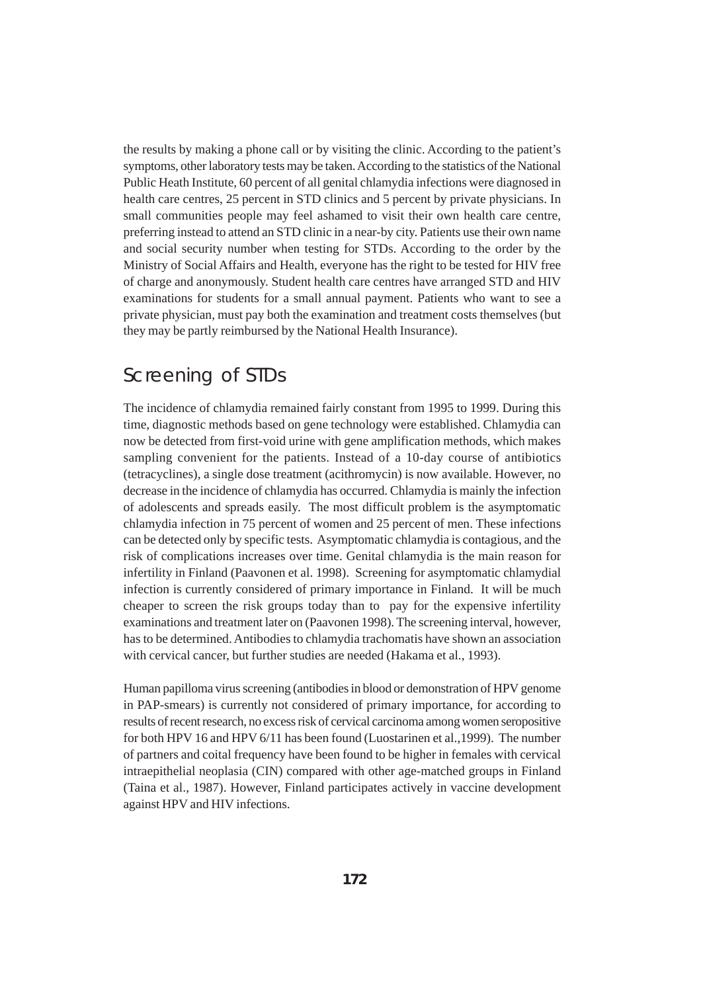the results by making a phone call or by visiting the clinic. According to the patient's symptoms, other laboratory tests may be taken. According to the statistics of the National Public Heath Institute, 60 percent of all genital chlamydia infections were diagnosed in health care centres, 25 percent in STD clinics and 5 percent by private physicians. In small communities people may feel ashamed to visit their own health care centre, preferring instead to attend an STD clinic in a near-by city. Patients use their own name and social security number when testing for STDs. According to the order by the Ministry of Social Affairs and Health, everyone has the right to be tested for HIV free of charge and anonymously. Student health care centres have arranged STD and HIV examinations for students for a small annual payment. Patients who want to see a private physician, must pay both the examination and treatment costs themselves (but they may be partly reimbursed by the National Health Insurance).

#### Screening of STDs

The incidence of chlamydia remained fairly constant from 1995 to 1999. During this time, diagnostic methods based on gene technology were established. Chlamydia can now be detected from first-void urine with gene amplification methods, which makes sampling convenient for the patients. Instead of a 10-day course of antibiotics (tetracyclines), a single dose treatment (acithromycin) is now available. However, no decrease in the incidence of chlamydia has occurred. Chlamydia is mainly the infection of adolescents and spreads easily. The most difficult problem is the asymptomatic chlamydia infection in 75 percent of women and 25 percent of men. These infections can be detected only by specific tests. Asymptomatic chlamydia is contagious, and the risk of complications increases over time. Genital chlamydia is the main reason for infertility in Finland (Paavonen et al. 1998). Screening for asymptomatic chlamydial infection is currently considered of primary importance in Finland. It will be much cheaper to screen the risk groups today than to pay for the expensive infertility examinations and treatment later on (Paavonen 1998). The screening interval, however, has to be determined. Antibodies to chlamydia trachomatis have shown an association with cervical cancer, but further studies are needed (Hakama et al., 1993).

Human papilloma virus screening (antibodies in blood or demonstration of HPV genome in PAP-smears) is currently not considered of primary importance, for according to results of recent research, no excess risk of cervical carcinoma among women seropositive for both HPV 16 and HPV 6/11 has been found (Luostarinen et al.,1999). The number of partners and coital frequency have been found to be higher in females with cervical intraepithelial neoplasia (CIN) compared with other age-matched groups in Finland (Taina et al., 1987). However, Finland participates actively in vaccine development against HPV and HIV infections.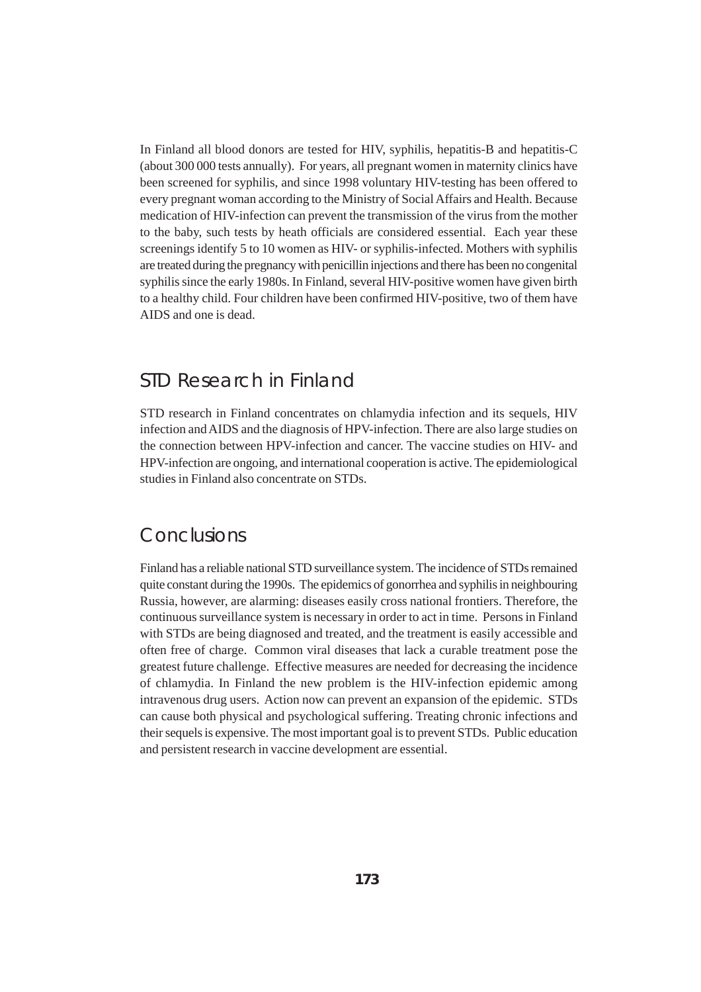In Finland all blood donors are tested for HIV, syphilis, hepatitis-B and hepatitis-C (about 300 000 tests annually). For years, all pregnant women in maternity clinics have been screened for syphilis, and since 1998 voluntary HIV-testing has been offered to every pregnant woman according to the Ministry of Social Affairs and Health. Because medication of HIV-infection can prevent the transmission of the virus from the mother to the baby, such tests by heath officials are considered essential. Each year these screenings identify 5 to 10 women as HIV- or syphilis-infected. Mothers with syphilis are treated during the pregnancy with penicillin injections and there has been no congenital syphilis since the early 1980s. In Finland, several HIV-positive women have given birth to a healthy child. Four children have been confirmed HIV-positive, two of them have AIDS and one is dead.

#### STD Research in Finland

STD research in Finland concentrates on chlamydia infection and its sequels, HIV infection and AIDS and the diagnosis of HPV-infection. There are also large studies on the connection between HPV-infection and cancer. The vaccine studies on HIV- and HPV-infection are ongoing, and international cooperation is active. The epidemiological studies in Finland also concentrate on STDs.

#### **Conclusions**

Finland has a reliable national STD surveillance system. The incidence of STDs remained quite constant during the 1990s. The epidemics of gonorrhea and syphilis in neighbouring Russia, however, are alarming: diseases easily cross national frontiers. Therefore, the continuous surveillance system is necessary in order to act in time. Persons in Finland with STDs are being diagnosed and treated, and the treatment is easily accessible and often free of charge. Common viral diseases that lack a curable treatment pose the greatest future challenge. Effective measures are needed for decreasing the incidence of chlamydia. In Finland the new problem is the HIV-infection epidemic among intravenous drug users. Action now can prevent an expansion of the epidemic. STDs can cause both physical and psychological suffering. Treating chronic infections and their sequels is expensive. The most important goal is to prevent STDs. Public education and persistent research in vaccine development are essential.